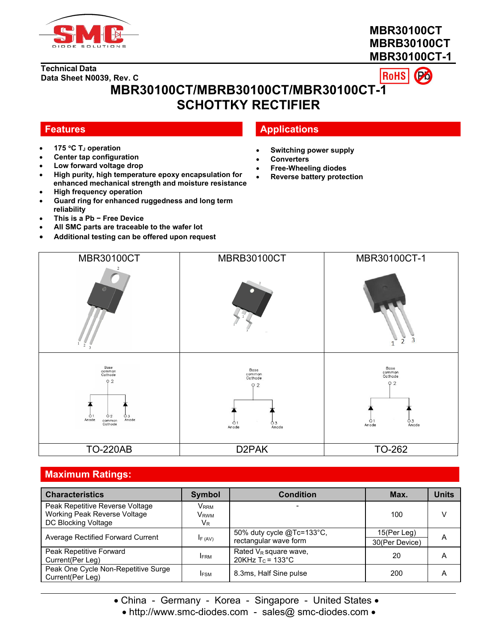

# **MBR30100CT MBRB30100CT MBR30100CT-1**



# **MBR30100CT/MBRB30100CT/MBR30100CT-1 SCHOTTKY RECTIFIER**

- **175 C T<sup>J</sup> operation**
- **Center tap configuration**
- **Low forward voltage drop**
- **High purity, high temperature epoxy encapsulation for enhanced mechanical strength and moisture resistance**
- **High frequency operation**
- **Guard ring for enhanced ruggedness and long term reliability**
- **This is a Pb − Free Device**
- **All SMC parts are traceable to the wafer lot**
- **Additional testing can be offered upon request**

## **Features Applications**

- **Switching power supply**
- **Converters**
- **Free-Wheeling diodes**
- **Reverse battery protection**



#### **Maximum Ratings:**

| <b>Characteristics</b>                                                                 | Symbol                                            | <b>Condition</b>                                   | Max.                          | <b>Units</b> |
|----------------------------------------------------------------------------------------|---------------------------------------------------|----------------------------------------------------|-------------------------------|--------------|
| Peak Repetitive Reverse Voltage<br>Working Peak Reverse Voltage<br>DC Blocking Voltage | <b>VRRM</b><br><b>V</b> <sub>RWM</sub><br>$V_{R}$ |                                                    | 100                           | v            |
| Average Rectified Forward Current                                                      | IF (AV)                                           | 50% duty cycle @Tc=133°C,<br>rectangular wave form | 15(Per Leg)<br>30(Per Device) | A            |
| Peak Repetitive Forward<br>Current (Per Leg)                                           | <b>IFRM</b>                                       | Rated $V_R$ square wave,<br>20KHz $T_c$ = 133°C    | 20                            | A            |
| Peak One Cycle Non-Repetitive Surge<br>Current(Per Leg)                                | <b>IFSM</b>                                       | 8.3ms, Half Sine pulse                             | 200                           | A            |

• China - Germany - Korea - Singapore - United States •

• http://www.smc-diodes.com - sales@ smc-diodes.com •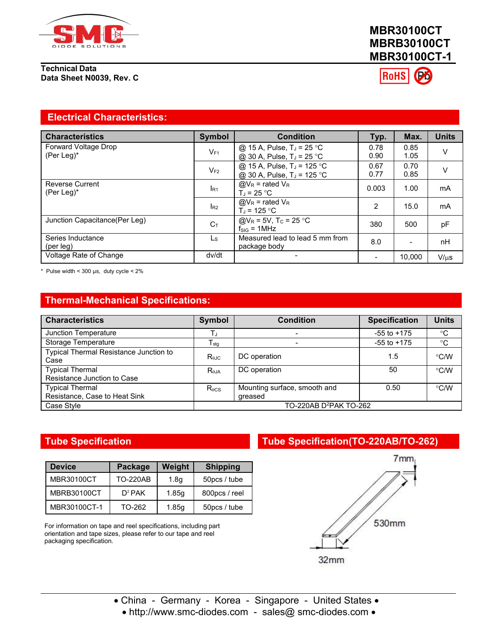

# **MBR30100CT MBRB30100CT MBR30100CT-1**

**RoHS** 

#### **Electrical Characteristics:**

| <b>Characteristics</b>                  | <b>Symbol</b>   | <b>Condition</b>                                                                 | Typ.                     | Max.                     | <b>Units</b> |
|-----------------------------------------|-----------------|----------------------------------------------------------------------------------|--------------------------|--------------------------|--------------|
| Forward Voltage Drop<br>(Per Leg) $*$   | $V_{F1}$        | @ 15 A, Pulse, T <sub>J</sub> = 25 °C<br>@ 30 A, Pulse, T <sub>J</sub> = 25 °C   | 0.78<br>0.90             | 0.85<br>1.05             | v            |
|                                         | $V_{F2}$        | @ 15 A, Pulse, T <sub>J</sub> = 125 °C<br>@ 30 A, Pulse, T <sub>J</sub> = 125 °C | 0.67<br>0.77             | 0.70<br>0.85             | v            |
| <b>Reverse Current</b><br>(Per Leg) $*$ | R <sub>1</sub>  | $@V_R =$ rated $V_R$<br>$T_{d}$ = 25 °C                                          | 0.003                    | 1.00                     | mA           |
|                                         | I <sub>R2</sub> | $@V_R$ = rated $V_R$<br>$T_{d}$ = 125 °C                                         | $\overline{2}$           | 15.0                     | mA           |
| Junction Capacitance (Per Leg)          | $C_{T}$         | @V <sub>R</sub> = 5V, T <sub>c</sub> = 25 °C<br>$f_{SIG} = 1 MHz$                | 380                      | 500                      | pF           |
| Series Inductance<br>(per leg)          | Ls              | Measured lead to lead 5 mm from<br>package body                                  | 8.0                      | $\overline{\phantom{a}}$ | nH           |
| Voltage Rate of Change                  | dv/dt           | -                                                                                | $\overline{\phantom{0}}$ | 10.000                   | $V/\mu s$    |

\* Pulse width <  $300 \,\mu s$ , duty cycle <  $2\%$ 

### **Thermal-Mechanical Specifications:**

| <b>Characteristics</b>                                  | Symbol              | <b>Condition</b>                        | <b>Specification</b> | <b>Units</b> |
|---------------------------------------------------------|---------------------|-----------------------------------------|----------------------|--------------|
| Junction Temperature                                    |                     |                                         | $-55$ to $+175$      | $^{\circ}C$  |
| Storage Temperature                                     | I stg               |                                         | $-55$ to $+175$      | $^{\circ}C$  |
| <b>Typical Thermal Resistance Junction to</b><br>Case   | $R_{\theta$ JC      | DC operation                            | 1.5                  | °C/W         |
| <b>Typical Thermal</b><br>Resistance Junction to Case   | $R_{\theta$ JA      | DC operation                            | 50                   | °C/W         |
| <b>Typical Thermal</b><br>Resistance, Case to Heat Sink | $R_{\rm \theta CS}$ | Mounting surface, smooth and<br>greased | 0.50                 | °C/W         |
| Case Style                                              |                     | TO-220AB D <sup>2</sup> PAK TO-262      |                      |              |

| <b>Device</b>      | Package         | Weight           | <b>Shipping</b> |
|--------------------|-----------------|------------------|-----------------|
| MBR30100CT         | <b>TO-220AB</b> | 1.8 <sub>q</sub> | 50pcs / tube    |
| <b>MBRB30100CT</b> | $D^2$ PAK       | 1.85q            | 800pcs / reel   |
| MBR30100CT-1       | TO-262          | 1.85q            | 50pcs / tube    |

For information on tape and reel specifications, including part orientation and tape sizes, please refer to our tape and reel packaging specification.

#### **Tube Specification Tube Specification(TO-220AB/TO-262)**



• China - Germany - Korea - Singapore - United States •

# • http://www.smc-diodes.com - sales@ smc-diodes.com •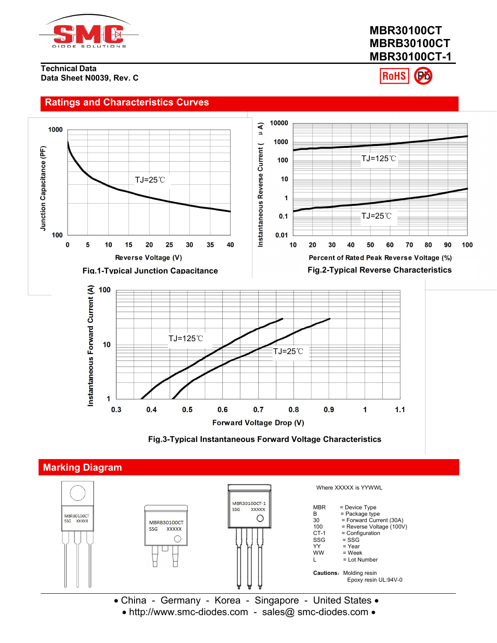

**Ratings and Characteristics Curves**

# **MBR30100CT MBRB30100CT MBR30100CT-1**

**RoHS** 









• http://www.smc-diodes.com - sales@ smc-diodes.com •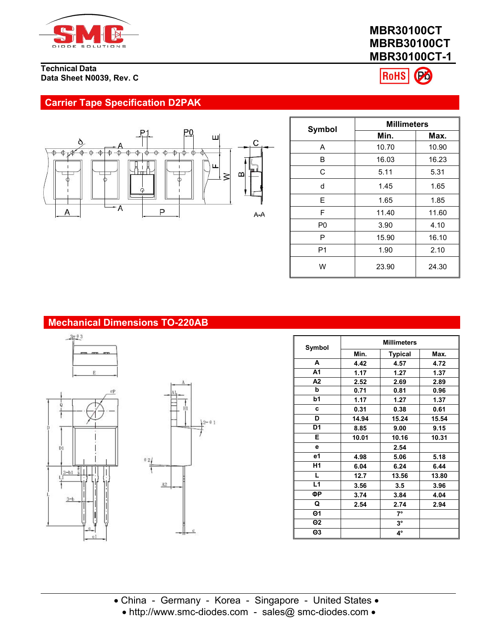

# **MBR30100CT MBRB30100CT MBR30100CT-1**



## **Carrier Tape Specification D2PAK**



|                |       | <b>Millimeters</b> |  |  |
|----------------|-------|--------------------|--|--|
| Symbol         | Min.  | Max.               |  |  |
| A              | 10.70 | 10.90              |  |  |
| B              | 16.03 | 16.23              |  |  |
| C              | 5.11  | 5.31               |  |  |
| d              | 1.45  | 1.65               |  |  |
| E              | 1.65  | 1.85               |  |  |
| F              | 11.40 | 11.60              |  |  |
| P <sub>0</sub> | 3.90  | 4.10               |  |  |
| P              | 15.90 | 16.10              |  |  |
| P <sub>1</sub> | 1.90  | 2.10               |  |  |
| W              | 23.90 | 24.30              |  |  |

# **Mechanical Dimensions TO-220AB**







| Symbol         | <b>Millimeters</b> |                |       |  |
|----------------|--------------------|----------------|-------|--|
|                | Min.               | <b>Typical</b> | Max.  |  |
| A              | 4.42               | 4.57           | 4.72  |  |
| A <sub>1</sub> | 1.17               | 1.27           | 1.37  |  |
| A2             | 2.52               | 2.69           | 2.89  |  |
| b              | 0.71               | 0.81           | 0.96  |  |
| b1             | 1.17               | 1.27           | 1.37  |  |
| c              | 0.31               | 0.38           | 0.61  |  |
| D              | 14.94              | 15.24          | 15.54 |  |
| D <sub>1</sub> | 8.85               | 9.00           | 9.15  |  |
| E.             | 10.01              | 10.16          | 10.31 |  |
| е              |                    | 2.54           |       |  |
| e1             | 4.98               | 5.06           | 5.18  |  |
| H1             | 6.04               | 6.24           | 6.44  |  |
| L.             | 12.7               | 13.56          | 13.80 |  |
| L1             | 3.56               | 3.5            | 3.96  |  |
| ФР             | 3.74               | 3.84           | 4.04  |  |
| Q              | 2.54               | 2.74           | 2.94  |  |
| $\Theta$ 1     |                    | $7^\circ$      |       |  |
| $\Theta$ 2     |                    | $3^\circ$      |       |  |
| $\Theta$ 3     |                    | 4°             |       |  |
|                |                    |                |       |  |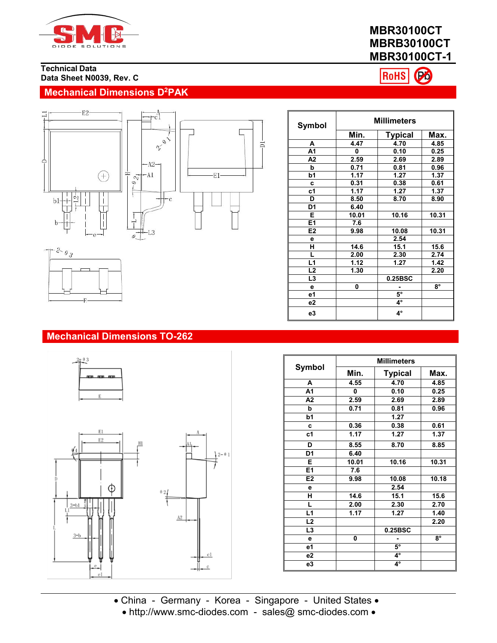

# **MBR30100CT MBRB30100CT MBR30100CT-1**

RoHS

Po

**Technical Data Data Sheet N0039, Rev. C**

# **Mechanical Dimensions D<sup>2</sup>PAK**





| <b>Symbol</b>  | <b>Millimeters</b> |                |           |  |
|----------------|--------------------|----------------|-----------|--|
|                | Min.               | <b>Typical</b> | Max.      |  |
| А              | 4.47               | 4.70           | 4.85      |  |
| A1             | 0                  | 0.10           | 0.25      |  |
| А2             | 2.59               | 2.69           | 2.89      |  |
| b              | 0.71               | 0.81           | 0.96      |  |
| b1             | 1.17               | 1.27           | 1.37      |  |
| C              | 0.31               | 0.38           | 0.61      |  |
| c1             | 1.17               | 1.27           | 1.37      |  |
| D              | 8.50               | 8.70           | 8.90      |  |
| D1             | 6.40               |                |           |  |
| E              | 10.01              | 10.16          | 10.31     |  |
| E1             | 7.6                |                |           |  |
| E <sub>2</sub> | 9.98               | 10.08          | 10.31     |  |
| е              |                    | 2.54           |           |  |
| Н              | 14.6               | 15.1           | 15.6      |  |
| L              | 2.00               | 2.30           | 2.74      |  |
| L1             | 1.12               | 1.27           | 1.42      |  |
| L <sub>2</sub> | 1.30               |                | 2.20      |  |
| L3             |                    | 0.25BSC        |           |  |
| e              | 0                  |                | $8^\circ$ |  |
| e1             |                    | $5^\circ$      |           |  |
| e2             |                    | $4^\circ$      |           |  |
| e3             |                    | $4^{\circ}$    |           |  |

# $-2 - \theta_3$

#### **Mechanical Dimensions TO-262**





|                | <b>Millimeters</b> |                |       |  |  |
|----------------|--------------------|----------------|-------|--|--|
| Symbol         | Min.               | <b>Typical</b> | Max.  |  |  |
| A              | 4.55               | 4.70           | 4.85  |  |  |
| A <sub>1</sub> | 0                  | 0.10           | 0.25  |  |  |
| A2             | 2.59               | 2.69           | 2.89  |  |  |
| b              | 0.71               | 0.81           | 0.96  |  |  |
| b1             |                    | 1.27           |       |  |  |
| C              | 0.36               | 0.38           | 0.61  |  |  |
| c1             | 1.17               | 1.27           | 1.37  |  |  |
| D              | 8.55               | 8.70           | 8.85  |  |  |
| D <sub>1</sub> | 6.40               |                |       |  |  |
| Е              | 10.01              | 10.16          | 10.31 |  |  |
| E1             | 7.6                |                |       |  |  |
| E2             | 9.98               | 10.08          | 10.18 |  |  |
| е              |                    | 2.54           |       |  |  |
| н              | 14.6               | 15.1           | 15.6  |  |  |
| L              | 2.00               | 2.30           | 2.70  |  |  |
| L1             | 1.17               | 1.27           | 1.40  |  |  |
| L <sub>2</sub> |                    |                | 2.20  |  |  |
| L <sub>3</sub> |                    | 0.25BSC        |       |  |  |
| e              | 0                  | ۰              | 8°    |  |  |
| e1             |                    | $5^\circ$      |       |  |  |
| e2             |                    | $4^{\circ}$    |       |  |  |
| e3             |                    | 4°             |       |  |  |

• China - Germany - Korea - Singapore - United States • • http://www.smc-diodes.com - sales@ smc-diodes.com •